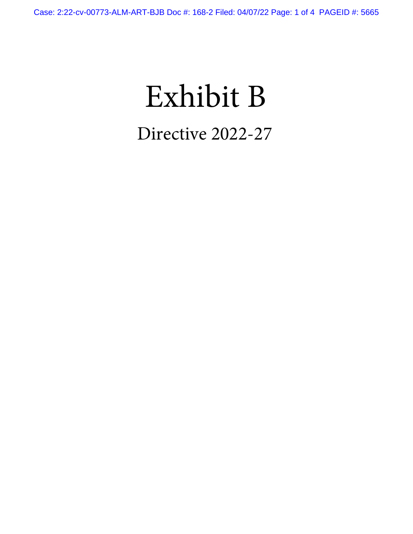# Exhibit B Directive 2022-27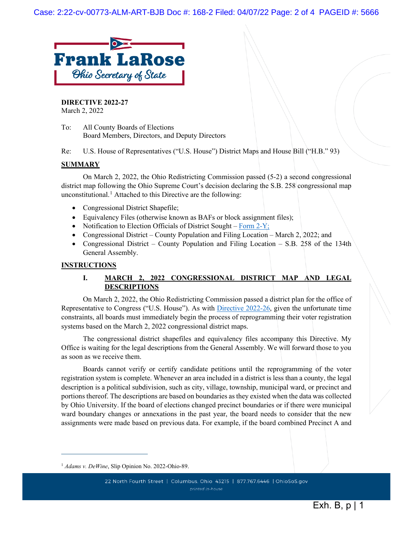

**DIRECTIVE 2022-27** March 2, 2022

To: All County Boards of Elections Board Members, Directors, and Deputy Directors

Re: U.S. House of Representatives ("U.S. House") District Maps and House Bill ("H.B." 93)

#### **SUMMARY**

On March 2, 2022, the Ohio Redistricting Commission passed (5-2) a second congressional district map following the Ohio Supreme Court's decision declaring the S.B. 258 congressional map unconstitutional.<sup>[1](#page-1-0)</sup> Attached to this Directive are the following:

- Congressional District Shapefile;
- Equivalency Files (otherwise known as BAFs or block assignment files);
- Notification to Election Officials of District Sought – [Form 2-Y;](https://www.ohiosos.gov/globalassets/elections/forms/2-y.pdf)
- Congressional District County Population and Filing Location March 2, 2022; and
- Congressional District County Population and Filing Location S.B. 258 of the 134th General Assembly.

#### **INSTRUCTIONS**

#### **I. MARCH 2, 2022 CONGRESSIONAL DISTRICT MAP AND LEGAL DESCRIPTIONS**

On March 2, 2022, the Ohio Redistricting Commission passed a district plan for the office of Representative to Congress ("U.S. House"). As with [Directive 2022-26,](https://www.sos.state.oh.us/globalassets/elections/directives/2022/directive-2022-26.pdf) given the unfortunate time constraints, all boards must immediately begin the process of reprogramming their voter registration systems based on the March 2, 2022 congressional district maps.

The congressional district shapefiles and equivalency files accompany this Directive. My Office is waiting for the legal descriptions from the General Assembly. We will forward those to you as soon as we receive them.

Boards cannot verify or certify candidate petitions until the reprogramming of the voter registration system is complete. Whenever an area included in a district is less than a county, the legal description is a political subdivision, such as city, village, township, municipal ward, or precinct and portions thereof. The descriptions are based on boundaries as they existed when the data was collected by Ohio University. If the board of elections changed precinct boundaries or if there were municipal ward boundary changes or annexations in the past year, the board needs to consider that the new assignments were made based on previous data. For example, if the board combined Precinct A and

<span id="page-1-0"></span><sup>1</sup> *Adams v. DeWine*, Slip Opinion No. 2022-Ohio-89.

<sup>22</sup> North Fourth Street | Columbus, Ohio 43215 | 877.767.6446 | OhioSoS.gov printed in-house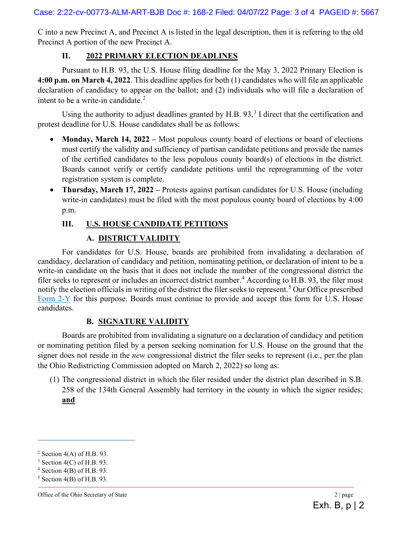C into a new Precinct A, and Precinct A is listed in the legal description, then it is referring to the old Precinct A portion of the new Precinct A.

## **II. 2022 PRIMARY ELECTION DEADLINES**

Pursuant to H.B. 93, the U.S. House filing deadline for the May 3, 2022 Primary Election is **4:00 p.m. on March 4, 2022**. This deadline applies for both (1) candidates who will file an applicable declaration of candidacy to appear on the ballot; and (2) individuals who will file a declaration of intent to be a write-in candidate.<sup>[2](#page-2-0)</sup>

Using the authority to adjust deadlines granted by H.B.  $93$  $93$ ,  $3$  I direct that the certification and protest deadline for U.S. House candidates shall be as follows:

- **Monday, March 14, 2022** Most populous county board of elections or board of elections must certify the validity and sufficiency of partisan candidate petitions and provide the names of the certified candidates to the less populous county board(s) of elections in the district. Boards cannot verify or certify candidate petitions until the reprogramming of the voter registration system is complete.
- **Thursday, March 17, 2022** Protests against partisan candidates for U.S. House (including write-in candidates) must be filed with the most populous county board of elections by 4:00 p.m.

## **III. U.S. HOUSE CANDIDATE PETITIONS**

## **A. DISTRICT VALIDITY**

For candidates for U.S. House, boards are prohibited from invalidating a declaration of candidacy, declaration of candidacy and petition, nominating petition, or declaration of intent to be a write-in candidate on the basis that it does not include the number of the congressional district the filer seeks to represent or includes an incorrect district number.<sup>[4](#page-2-2)</sup> According to H.B. 93, the filer must notify the election officials in writing of the district the filer seeks to represent. [5](#page-2-3) Our Office prescribed [Form 2-Y](https://www.ohiosos.gov/globalassets/elections/forms/2-y.pdf) for this purpose. Boards must continue to provide and accept this form for U.S. House candidates.

### **B. SIGNATURE VALIDITY**

Boards are prohibited from invalidating a signature on a declaration of candidacy and petition or nominating petition filed by a person seeking nomination for U.S. House on the ground that the signer does not reside in the *new* congressional district the filer seeks to represent (i.e., per the plan the Ohio Redistricting Commission adopted on March 2, 2022) so long as:

(1) The congressional district in which the filer resided under the district plan described in S.B. 258 of the 134th General Assembly had territory in the county in which the signer resides; **and**

 $2$  Section 4(A) of H.B. 93.

 $3$  Section 4(C) of H.B. 93.

<span id="page-2-0"></span> $4$  Section 4(B) of H.B. 93.

<span id="page-2-3"></span><span id="page-2-2"></span><span id="page-2-1"></span> $5$  Section 4(B) of H.B. 93.